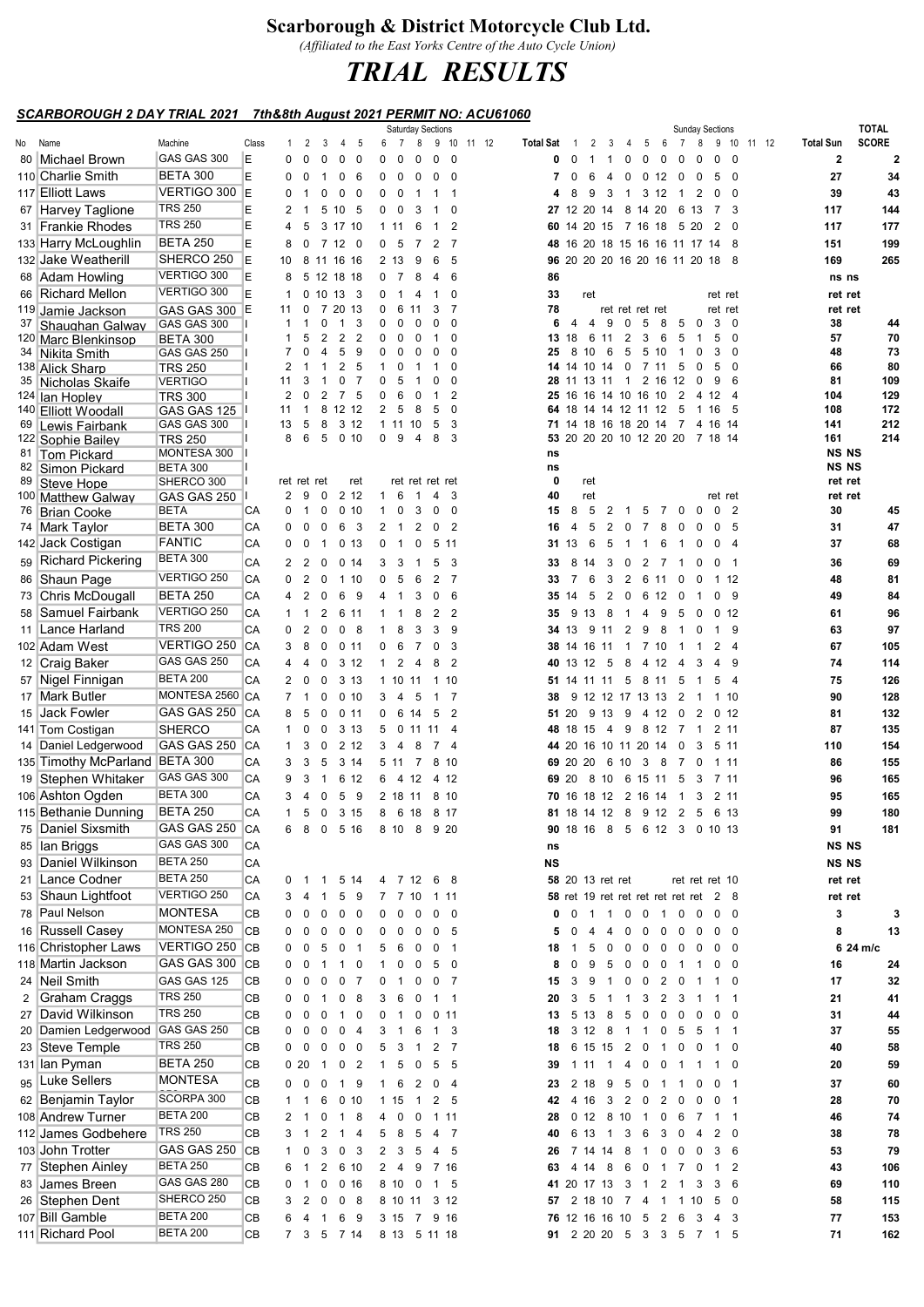## Scarborough & District Motorcycle Club Ltd.

(Affiliated to the East Yorks Centre of the Auto Cycle Union)

## TRIAL RESULTS

## SCARBOROUGH 2 DAY TRIAL 2021 7th&8th August 2021 PERMIT NO: ACU61060

|    |                                   |                                |       |                |                                           |                              |                |                              | <b>Saturday Sections</b> |                |                          |       |           |              |                      |                |                |                         |                               |                              | <b>Sunday Sections</b>                     |                          |       |                  | <b>TOTAL</b> |             |
|----|-----------------------------------|--------------------------------|-------|----------------|-------------------------------------------|------------------------------|----------------|------------------------------|--------------------------|----------------|--------------------------|-------|-----------|--------------|----------------------|----------------|----------------|-------------------------|-------------------------------|------------------------------|--------------------------------------------|--------------------------|-------|------------------|--------------|-------------|
| No | Name                              | Machine                        | Class | $\mathbf{1}$   | 2                                         | 3<br>4                       | 5              | $\overline{7}$<br>6          | 8                        | 9 10           |                          | 11 12 | Total Sat | -1           | 2                    | 3              | 4              | 5                       | 6                             | $\overline{7}$<br>8          | 9                                          | 10                       | 11 12 | <b>Total Sun</b> | <b>SCORE</b> |             |
|    | 80 Michael Brown                  | GAS GAS 300                    | E     | 0              | 0<br>0                                    | 0                            | 0              | 0<br>$\Omega$                | 0                        | 0              | - 0                      |       | 0         | 0            | -1                   | $\mathbf{1}$   | 0              | 0                       | 0                             | $\Omega$<br>0                | $\mathbf 0$                                | $\mathbf 0$              |       | $\mathbf{2}$     |              | $\mathbf 2$ |
|    | 110 Charlie Smith                 | <b>BETA 300</b>                | E     | 0              | 0<br>$\overline{1}$                       | 0                            | - 6            | 0<br>0                       | 0                        | 0              | - 0                      |       | 7         | 0            | 6                    | 4              | 0              | 0 12                    | $\overline{\mathbf{0}}$       | 0                            | 5                                          | $\overline{\mathbf{0}}$  |       | 27               |              | 34          |
|    | 117 Elliott Laws                  | VERTIGO 300                    | E     | 0              | 0<br>-1                                   | 0                            | 0              | 0<br>$\overline{\mathbf{0}}$ | -1                       |                | - 1                      |       | 4         | 8            | 9                    | 3              | 1              | 3 12                    |                               | 2<br>$\overline{1}$          | 0                                          | 0                        |       | 39               |              | 43          |
|    | 67 Harvey Taglione                | <b>TRS 250</b>                 | E     | 2              | -1                                        | 5 10 5                       |                | $0\quad 0$                   | 3                        |                | 0                        |       |           |              | 27 12 20 14          |                |                | 8 14 20                 |                               | 6 13                         | 7                                          | 3                        |       | 117              |              | 144         |
|    | 31 Frankie Rhodes                 | <b>TRS 250</b>                 | E     | 4              | 5                                         | 3 17 10                      |                | 1 11                         | 6                        | 1              | 2                        |       |           |              |                      |                |                |                         |                               | 60 14 20 15 7 16 18 5 20     | 2                                          | $\Omega$                 |       | 117              |              | 177         |
|    | 133 Harry McLoughlin              | <b>BETA 250</b>                | E     | 8              | $\mathbf 0$<br>7                          | 12 <sub>0</sub>              |                | 0<br>- 5                     | 7                        | 2              | - 7                      |       |           |              |                      |                |                |                         |                               | 48 16 20 18 15 16 16 11 17   | 14                                         | 8                        |       | 151              |              | 199         |
|    |                                   | SHERCO 250                     |       |                |                                           |                              |                |                              |                          |                |                          |       |           |              |                      |                |                |                         |                               |                              |                                            |                          |       |                  |              |             |
|    | 132 Jake Weatherill               |                                | E     | 10             |                                           | 8 11 16 16                   |                | 2 13                         | 9                        | 6              | - 5                      |       |           |              |                      |                |                |                         |                               |                              | 96 20 20 20 16 20 16 11 20 18 8            |                          |       | 169              |              | 265         |
|    | 68 Adam Howling                   | VERTIGO 300                    | E     | 8              |                                           | 5 12 18 18                   |                | 0 <sub>7</sub>               | 8                        | 4              | - 6                      |       | 86        |              |                      |                |                |                         |                               |                              |                                            |                          |       | ns ns            |              |             |
|    | 66 Richard Mellon                 | VERTIGO 300                    | E     | -1             |                                           | 0, 10, 13, 3                 |                | 0<br>-1                      | 4                        | 1              | 0                        |       | 33        |              | ret                  |                |                |                         |                               |                              | ret ret                                    |                          |       | ret ret          |              |             |
|    | <sup>119</sup> Jamie Jackson      | GAS GAS 300 E                  |       | 11             | 0<br>7                                    | 20 13                        |                | 0<br>6                       | -11                      | 3              | - 7                      |       | 78        |              |                      |                |                | ret ret ret ret         |                               |                              | ret ret                                    |                          |       | ret ret          |              |             |
| 37 | Shaughan Galway                   | GAS GAS 300                    |       | $\mathbf{1}$   | 0<br>-1                                   | $\overline{1}$               | 3              | 0<br>0                       | 0                        | 0              | 0                        |       | 6         | 4            | $\overline{4}$       | 9              | 0              | 5                       | 8                             | 5<br>0                       | 3                                          | $\mathbf 0$              |       | 38               |              | 44          |
|    | <sup>120</sup> Marc Blenkinsop    | <b>BETA 300</b>                |       | 1              | $\overline{2}$<br>5                       | 2                            | $\overline{2}$ | 0<br>0                       | 0                        |                | 0                        |       | 13        | 18           |                      | 6 11           | $\overline{2}$ | 3                       | 6                             | 5<br>-1                      | 5                                          | 0                        |       | 57               |              | 70          |
|    | 34 Nikita Smith                   | GAS GAS 250                    |       | 7              | 0<br>4                                    | 5                            | 9              | 0<br>0                       |                          |                | 0                        |       | 25        | 8            | 10                   | 6              | 5              | 5                       | 10                            | 0                            | 3                                          | $\mathbf 0$              |       | 48               |              | 73          |
|    | 138 Alick Sharp                   | <b>TRS 250</b>                 |       | 2              | $\mathbf 1$                               | 2                            | 5              | 1<br>0                       |                          |                |                          |       | 14        | 14           | 10                   | 14             | 0              | 7 11                    |                               | 5<br>0                       | 5                                          | $\Omega$                 |       | 66               |              | 80          |
|    | 35 Nicholas Skaife                | <b>VERTIGO</b>                 |       | 11             | 3<br>-1                                   | 0                            | 7              | 0<br>5                       |                          |                | 0                        |       | 28        |              | 13                   | -11            | -1             | 2 16                    | 12                            | 0                            | 9                                          | 6                        |       | 81               |              | 109         |
|    | 124 Ian Hopley                    | <b>TRS 300</b>                 |       | 2              | 2<br>0                                    | 7                            | 5              | 0<br>6                       | 0                        | 1              | 2                        |       |           |              | 25 16 16 14 10 16 10 |                |                |                         |                               | 2<br>4                       | 12                                         | $\overline{4}$           |       | 104              |              | 129         |
|    | 140 Elliott Woodall               | GAS GAS 125                    |       | 11             | 8<br>-1                                   | 12 12                        |                | 2<br>5                       | 8                        | 5              | $\mathbf 0$<br>3         |       | 64        | 18           |                      | 14 14 12 11 12 |                |                         |                               | 5<br>-1                      | 16                                         | 5                        |       | 108              |              | 172         |
| 69 | ∣Lewis Fairbank                   | GAS GAS 300                    |       | 13<br>8        | 8<br>5<br>6<br>5                          | 3 12<br>0 <sub>10</sub>      |                | 1 11 10<br>$\mathbf 0$<br>9  | 4                        | 5<br>8         | 3                        |       |           |              | 71 14 18 16 18 20 14 |                |                |                         | $\overline{7}$                |                              | 4 16 14<br>53 20 20 20 10 12 20 20 7 18 14 |                          |       | 141<br>161       |              | 212<br>214  |
|    | 122 Sophie Bailey                 | <b>TRS 250</b>                 |       |                |                                           |                              |                |                              |                          |                |                          |       |           |              |                      |                |                |                         |                               |                              |                                            |                          |       | <b>NS NS</b>     |              |             |
|    | 81 Tom Pickard                    | MONTESA 300<br><b>BETA 300</b> |       |                |                                           |                              |                |                              |                          |                |                          |       | ns<br>ns  |              |                      |                |                |                         |                               |                              |                                            |                          |       | <b>NS NS</b>     |              |             |
|    | 82 Simon Pickard<br>89 Steve Hope | SHERCO 300                     |       |                | ret ret ret                               |                              | ret            |                              | ret ret ret ret          |                |                          |       | 0         |              | ret                  |                |                |                         |                               |                              |                                            |                          |       | ret ret          |              |             |
|    | 100 Matthew Galway                | GAS GAS 250                    |       | 2              | 9<br>0                                    | 2 12                         |                | $\mathbf{1}$<br>6            | $\overline{1}$           | 4              | - 3                      |       | 40        |              | ret                  |                |                |                         |                               |                              | ret ret                                    |                          |       | ret ret          |              |             |
|    | 76 Brian Cooke                    | <b>BETA</b>                    | СA    | 0              | 0<br>$\overline{1}$                       | 0 <sub>10</sub>              |                | 0<br>$\mathbf{1}$            | 3                        | 0              | $\overline{\mathbf{0}}$  |       | 15        | 8            | 5                    | 2              | 1              | 5                       | 7                             | 0<br>0                       | $\mathbf 0$                                | $\overline{2}$           |       | 30               |              | 45          |
|    |                                   | <b>BETA 300</b>                | CA    | 0              | 0<br>0                                    | 6<br>$\overline{\mathbf{3}}$ |                | 2<br>$\overline{1}$          | 2                        | 0 <sub>2</sub> |                          |       | 16        | 4            | 5                    | $\overline{2}$ | 0              | $\overline{7}$          | 8                             | 0<br>0                       | 0                                          | -5                       |       | 31               |              | 47          |
|    | 74 Mark Taylor                    |                                |       |                |                                           |                              |                |                              |                          |                |                          |       |           |              |                      |                |                |                         |                               |                              |                                            |                          |       |                  |              |             |
|    | 142 Jack Costigan                 | FANTIC                         | CA    | 0              | 0<br>$\overline{1}$                       | 0 <sub>13</sub>              |                | $\mathbf{1}$<br>0            | 0                        | 5 11           |                          |       |           | 31 13        | 6                    | 5              | -1             | -1                      | 6                             | 0<br>$\overline{1}$          | $\mathbf 0$                                | $\overline{4}$           |       | 37               |              | 68          |
|    | 59 Richard Pickering              | <b>BETA 300</b>                | CA    | $\overline{2}$ | 2<br>0                                    | 0.14                         |                | 3<br>3                       | -1                       | 5              | - 3                      |       | 33        | 8            | 14                   | 3              | 0              | 2                       | $\overline{7}$                | 0<br>-1                      | 0                                          | -1                       |       | 36               |              | 69          |
|    | 86 Shaun Page                     | VERTIGO 250                    | CA    | 0              | 2<br>0                                    | 1 10                         |                | 0<br>5                       | 6                        | $\overline{2}$ | $\overline{7}$           |       | 33        | 7            | 6                    | 3              | 2              | 6 11                    |                               | 0<br>0                       |                                            | 112                      |       | 48               |              | 81          |
|    | 73 Chris McDougall                | <b>BETA 250</b>                | CA    | 4              | 2<br>0                                    | 6                            | - 9            | $\mathbf{1}$<br>4            | 3                        | 0              | 6                        |       |           | 35 14        | 5                    | 2              | 0              | 6                       | 12<br>$\overline{\mathbf{0}}$ | -1                           | $\mathbf 0$                                | 9                        |       | 49               |              | 84          |
|    | 58 Samuel Fairbank                | VERTIGO 250                    | CA    | $\mathbf{1}$   | $\overline{2}$<br>$\overline{1}$          | 6 11                         |                | $\mathbf{1}$<br>$\mathbf{1}$ | 8                        | 2 <sub>2</sub> |                          |       | 35        |              | 9 13                 | 8              | $\overline{1}$ | 4                       | 9                             | -5<br>0                      |                                            | 0 <sub>12</sub>          |       | 61               |              | 96          |
|    | 11 Lance Harland                  | <b>TRS 200</b>                 | CA    | 0              | 2<br>0                                    | 0 <sub>8</sub>               |                | 8<br>$\mathbf{1}$            | 3                        | 3              | - 9                      |       |           |              | <b>34</b> 13 9 11    |                | 2              | 9                       | - 8                           | $\overline{1}$<br>0          | $\mathbf{1}$                               | 9                        |       | 63               |              | 97          |
|    | 102 Adam West                     | VERTIGO 250                    | CA    | 3              | 0<br>8                                    | 0.11                         |                | 0<br>6                       | $\overline{7}$           | 0              | - 3                      |       |           |              | <b>38</b> 14 16 11   |                | $\mathbf{1}$   | 7 10                    | $\overline{1}$                | -1                           | 2                                          | $\overline{4}$           |       | 67               |              | 105         |
|    |                                   | GAS GAS 250                    |       |                |                                           |                              |                |                              |                          |                |                          |       |           |              |                      |                |                |                         |                               |                              |                                            |                          |       |                  |              |             |
|    | 12 Craig Baker                    |                                | CA    | 4              | 4<br>0                                    | 3 12                         |                | 2<br>$\mathbf 1$             | $\overline{a}$           | 8              | $\overline{2}$           |       |           |              | 40 13 12             | - 5            | 8              | 4 12                    | $\overline{4}$                | 3                            | 4                                          | 9                        |       | 74               |              | 114         |
|    | 57 Nigel Finnigan                 | <b>BETA 200</b>                | CA    | 2              | 0<br>0                                    | 3 13                         |                | 1 10 11                      |                          | 1 10           |                          |       |           |              | 51 14 11 11          |                | 5              | 8                       | 11                            | 5<br>-1                      | 5                                          | $\overline{4}$           |       | 75               |              | 126         |
|    | 17 Mark Butler                    | MONTESA 2560 CA                |       | $\overline{7}$ | 0<br>$\overline{1}$                       | 0 <sub>10</sub>              |                | 3<br>4                       | 5                        | 1              | - 7                      |       | 38        |              | 9 12 12 17 13 13     |                |                |                         | $\overline{\phantom{a}}$      | -1                           |                                            | 1 10                     |       | 90               |              | 128         |
|    | 15 Jack Fowler                    | GAS GAS 250                    | CA    | 8              | - 5<br>0                                  | 0.11                         |                | 0                            | 6 14                     | 5 2            |                          |       |           |              | 51 20 9 13 9         |                |                |                         | 4 12 0                        | 2                            | 0 <sub>12</sub>                            |                          |       | 81               |              | 132         |
|    | 141 Tom Costigan                  | <b>SHERCO</b>                  | СA    | $\mathbf{1}$   | 0<br>0                                    | 3 1 3                        |                | 5                            | 0 11 11 4                |                |                          |       |           |              | 48 18 15             | $\overline{4}$ | 9              |                         | 8 12 7                        | -1                           |                                            | 2 11                     |       | 87               |              | 135         |
|    | 14 Daniel Ledgerwood              | GAS GAS 250                    | CA    | $\mathbf{1}$   | 3<br>0                                    | 2 1 2                        |                | 3<br>$\overline{4}$          | 8                        | 74             |                          |       |           |              | 44 20 16 10 11 20 14 |                |                |                         |                               | 0<br>3                       |                                            | 5 11                     |       | 110              |              | 154         |
|    | 135 Timothy McParland             | <b>BETA 300</b>                | СA    | 3              | 3<br>- 5                                  | 3 14                         |                | 5 11 7                       |                          | 8 10           |                          |       |           |              | 69 20 20             | 6 10           |                | $\mathbf{3}$            | - 8                           | $\overline{7}$<br>0          |                                            | 1 11                     |       | 86               |              | 155         |
|    | 19 Stephen Whitaker               | GAS GAS 300                    | CA    | 9              | 3<br>$\overline{1}$                       | 6 12                         |                | 6 4 12                       |                          | 4 12           |                          |       |           | 69 20        |                      | 8 10 6 15 11   |                |                         |                               | 5<br>3                       | 7 11                                       |                          |       | 96               |              | 165         |
|    | 106 Ashton Ogden                  | <b>BETA 300</b>                | CA    | 3              | 0<br>4                                    | 5                            | - 9            | 2 18 11                      |                          | 8 10           |                          |       |           |              | 70 16 18 12 2 16 14  |                |                |                         |                               | 3<br>$\overline{1}$          |                                            | 2 11                     |       | 95               |              | 165         |
|    |                                   | <b>BETA 250</b>                | CA    | $\mathbf{1}$   | $\overline{\mathbf{0}}$<br>5              | 3 15                         |                | 8                            | 6 18                     | 8 17           |                          |       |           |              | 81 18 14 12 8 9 12 2 |                |                |                         |                               | 5                            | 6 13                                       |                          |       | 99               |              | 180         |
|    | 115 Bethanie Dunning              |                                |       |                |                                           |                              |                |                              |                          |                |                          |       |           |              |                      |                |                |                         |                               |                              |                                            |                          |       |                  |              |             |
|    | 75 Daniel Sixsmith                | GAS GAS 250 CA                 |       | 6 8            | $\overline{\mathbf{0}}$                   | 5 16                         |                | 8 10 8 9 20                  |                          |                |                          |       |           |              |                      |                |                |                         |                               |                              | 90 18 16 8 5 6 12 3 0 10 13                |                          |       | 91               |              | 181         |
|    | 85 Ian Briggs                     | GAS GAS 300                    | CA    |                |                                           |                              |                |                              |                          |                |                          |       | ns        |              |                      |                |                |                         |                               |                              |                                            |                          |       | NS NS            |              |             |
|    | 93 Daniel Wilkinson               | <b>BETA 250</b>                | CA    |                |                                           |                              |                |                              |                          |                |                          |       | NS        |              |                      |                |                |                         |                               |                              |                                            |                          |       | <b>NS NS</b>     |              |             |
|    | 21 Lance Codner                   | <b>BETA 250</b>                | CA    |                | 0 1 1                                     | 5 14                         |                | 4 7 12 6 8                   |                          |                |                          |       |           |              | 58 20 13 ret ret     |                |                |                         |                               |                              | ret ret ret 10                             |                          |       | ret ret          |              |             |
|    | 53 Shaun Lightfoot                | VERTIGO 250                    | CA    | 3              | $\overline{1}$<br>4                       | 5                            | 9              | 7 7 10                       |                          | 1 11           |                          |       |           |              |                      |                |                |                         |                               |                              | 58 ret 19 ret ret ret ret ret ret 2 8      |                          |       | ret ret          |              |             |
|    | 78 Paul Nelson                    | MONTESA                        | CВ    | 0              | 0<br>0                                    | $0\quad 0$                   |                | $0\quad 0$                   | $\overline{\mathbf{0}}$  | $0\quad 0$     |                          |       | 0         |              | $0 \t1 \t1$          |                |                |                         |                               | 0 0 1 0 0                    | $0\quad 0$                                 |                          |       | 3                |              | 3           |
|    | 16 Russell Casey                  | MONTESA 250                    | CВ    | 0              | 0<br>0                                    | 0                            | $\overline{0}$ | 0<br>0                       | 0                        | 0 <sub>5</sub> |                          |       | 5         | 0            | 4                    | 4              | 0              | 0                       | 0                             | 0<br>0                       | 0                                          | $\overline{\mathbf{0}}$  |       | 8                |              | 13          |
|    | 116 Christopher Laws              | VERTIGO 250 CB                 |       | 0              | $\mathbf 0$<br>5                          | 0                            | $\overline{1}$ | 5<br>6                       | $\overline{\mathbf{0}}$  | 0              | $\overline{\phantom{1}}$ |       | 18        | $\mathbf{1}$ | 5                    | 0              | 0              | 0                       | 0                             | $\overline{\mathbf{0}}$<br>0 |                                            | $0\quad 0$               |       |                  | 6 24 m/c     |             |
|    |                                   | GAS GAS 300 CB                 |       | 0              | $\overline{\mathbf{0}}$<br>$\overline{1}$ | $1\quad 0$                   |                | $1 \quad 0 \quad 0$          |                          | 5 0            |                          |       | 8         | 0            | - 9                  | 5              |                |                         |                               |                              |                                            | $\overline{\phantom{0}}$ |       | 16               |              |             |
|    | 118 Martin Jackson                |                                |       |                |                                           |                              |                |                              |                          |                |                          |       |           |              |                      |                |                |                         |                               |                              | 0 0 0 1 1 0                                |                          |       |                  |              | 24          |
|    | 24 Neil Smith                     | GAS GAS 125                    | CВ    | 0              | 0<br>0                                    | 0                            | $\overline{7}$ | 0<br>$\overline{1}$          | $\mathbf 0$              | 0 <sub>7</sub> |                          |       | 15        | 3            | 9                    | $\overline{1}$ | 0              | $\overline{\mathbf{0}}$ | $2\quad 0$                    | -1                           |                                            | $1\quad 0$               |       | 17               |              | 32          |
| 2  | Graham Craggs                     | <b>TRS 250</b>                 | CВ    | 0              | $\mathbf 0$<br>$\overline{1}$             | 0 <sub>8</sub>               |                | 3<br>6                       | $\overline{\mathbf{0}}$  | $1 \quad 1$    |                          |       | 20        | 3            | 5                    | $\overline{1}$ | $\mathbf{1}$   | 3                       | $2 \quad 3$                   | -1                           | $\mathbf{1}$                               | $\overline{1}$           |       | 21               |              | 41          |
|    | 27 David Wilkinson                | <b>TRS 250</b>                 | CВ    | 0              | 0<br>0                                    | $\mathbf{1}$                 | $\mathbf 0$    | 0<br>$\overline{1}$          | 0                        | 0.11           |                          |       | 13        |              | 5 13 8               |                | 5              | $\overline{0}$          | 0                             | 0<br>0                       | 0                                          | $\mathbf 0$              |       | 31               |              | 44          |
|    | 20 Damien Ledgerwood              | GAS GAS 250                    | CВ    | 0              | 0<br>0                                    | $0\quad 4$                   |                | 3 1 6                        |                          | 1 3            |                          |       | 18        |              |                      |                |                |                         |                               |                              | 3 12 8 1 1 0 5 5 1 1                       |                          |       | 37               |              | 55          |
|    | 23 Steve Temple                   | <b>TRS 250</b>                 | CВ    | $\mathbf{0}$   | 0<br>0                                    | $0\quad 0$                   |                | 5 3 1                        |                          | 2 7            |                          |       | 18        |              |                      |                |                |                         |                               | 6 15 15 2 0 1 0 0            | 1 0                                        |                          |       | 40               |              | 58          |
|    | 131 Ian Pyman                     | <b>BETA 250</b>                | CВ    | 020            | $\overline{1}$                            | 0 <sub>2</sub>               |                | $\mathbf{1}$                 | 5 0                      | 5 <sub>5</sub> |                          |       | 39        |              | 1 1 1                | $\overline{1}$ |                |                         | 4 0 0 1                       | $\mathbf{1}$                 |                                            | $1\quad 0$               |       | 20               |              | 59          |
|    | 95 Luke Sellers                   | MONTESA                        | CВ    | $0\quad 0$     | 0                                         | 1 9                          |                | 1 6                          | $\overline{2}$           | 0 <sub>4</sub> |                          |       | 23        |              | 2 18 9               |                |                | 5 0                     | $\overline{1}$                | 0<br>$\overline{1}$          | 0                                          | $\overline{1}$           |       | 37               |              | 60          |
|    | 62 Benjamin Taylor                | SCORPA 300                     |       | $1 \quad 1$    |                                           |                              |                |                              |                          |                |                          |       |           |              |                      |                |                |                         |                               |                              | $\overline{\mathbf{0}}$                    | $\overline{1}$           |       |                  |              | 70          |
|    |                                   | <b>BETA 200</b>                | CВ    |                | 6                                         | 0 <sub>10</sub>              |                | 1 15 1                       |                          | 2 <sub>5</sub> |                          |       | 42        |              | 4 16 3 2 0           |                |                |                         | 2 0                           | 0                            |                                            |                          |       | 28               |              |             |
|    | 108 Andrew Turner                 |                                | CВ    | 2              | 0<br>$\overline{1}$                       | $1\quad 8$                   |                | 4<br>0                       | 0                        | 1 11           |                          |       | 28        |              | 0 12 8 10 1          |                |                |                         | 0 <sub>6</sub>                | $\overline{7}$               | $1 \quad 1$                                |                          |       | 46               |              | 74          |
|    | 112 James Godbehere               | <b>TRS 250</b>                 | CВ    | 3              | $\overline{2}$<br>$\overline{1}$          | $1 \quad 4$                  |                | 5 8                          | 5                        | 4 7            |                          |       | 40        |              |                      |                |                |                         |                               | 6 13 1 3 6 3 0 4             | 2 0                                        |                          |       | 38               |              | 78          |
|    | 103 John Trotter                  | GAS GAS 250                    | CВ    | 10             | 3                                         | 0 <sup>3</sup>               |                | 2 3 5 4 5                    |                          |                |                          |       | 26        |              |                      |                |                |                         |                               | 7 14 14 8 1 0 0 0            |                                            | 3 6                      |       | 53               |              | 79          |
|    | 77 Stephen Ainley                 | <b>BETA 250</b>                | CВ    | 6              | $\overline{2}$<br>$\overline{1}$          | 6 10                         |                | $2\quad 4\quad 9$            |                          | 7 16           |                          |       | 63        |              | 4 14 8               |                |                |                         | 6 0 1 7                       | 0                            | 1 2                                        |                          |       | 43               |              | 106         |
|    | 83 James Breen                    | GAS GAS 280                    | CB    | 0              | $\mathbf 0$<br>$\overline{1}$             | 0 <sub>16</sub>              |                | 8 10 0                       |                          | 1 5            |                          |       |           |              | 41 20 17 13 3 1      |                |                |                         | $2 \quad 1$                   | 3                            | 3                                          | - 6                      |       | 69               |              | 110         |
|    | 26 Stephen Dent                   | SHERCO 250                     | CВ    | 3              | 0<br>2                                    | 0 <sub>8</sub>               |                | 8 10 11                      |                          | 3 12           |                          |       | 57        |              |                      |                |                |                         |                               | 2 18 10 7 4 1 1 10           | 5                                          | $\overline{\phantom{0}}$ |       | 58               |              | 115         |
|    | 107 Bill Gamble                   | <b>BETA 200</b>                | CВ    | 6              | $\overline{4}$<br>$\overline{1}$          | 6 9                          |                | 3 15 7 9 16                  |                          |                |                          |       |           |              |                      |                |                |                         |                               | 76 12 16 16 10 5 2 6 3       | 4 3                                        |                          |       | 77               |              | 153         |
|    | 111 Richard Pool                  | <b>BETA 200</b>                | CВ    |                |                                           | 7 3 5 7 14                   |                | 8 13 5 11 18                 |                          |                |                          |       |           |              |                      |                |                |                         |                               |                              | 91 2 20 20 5 3 3 5 7 1 5                   |                          |       | 71               |              | 162         |
|    |                                   |                                |       |                |                                           |                              |                |                              |                          |                |                          |       |           |              |                      |                |                |                         |                               |                              |                                            |                          |       |                  |              |             |